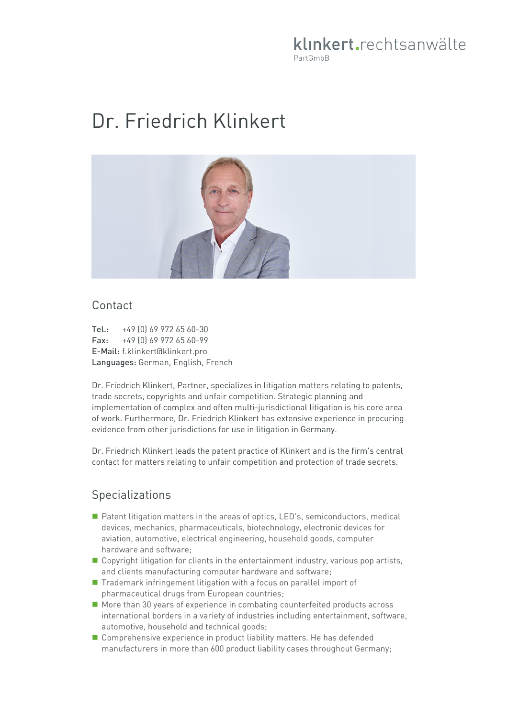# klinkert.rechtsanwälte PartGmbB

# Dr. Friedrich Klinkert



#### Contact

Tel.: +49 (0) 69 972 65 60-30 Fax: +49 (0) 69 972 65 60-99 E-Mail: f.klinkert@klinkert.pro Languages: German, English, French

Dr. Friedrich Klinkert, Partner, specializes in litigation matters relating to patents, trade secrets, copyrights and unfair competition. Strategic planning and implementation of complex and often multi-jurisdictional litigation is his core area of work. Furthermore, Dr. Friedrich Klinkert has extensive experience in procuring evidence from other jurisdictions for use in litigation in Germany.

Dr. Friedrich Klinkert leads the patent practice of Klinkert and is the firm's central contact for matters relating to unfair competition and protection of trade secrets.

### Specializations

- **Patent litigation matters in the areas of optics, LED's, semiconductors, medical** devices, mechanics, pharmaceuticals, biotechnology, electronic devices for aviation, automotive, electrical engineering, household goods, computer hardware and software;
- Copyright litigation for clients in the entertainment industry, various pop artists, and clients manufacturing computer hardware and software;
- Trademark infringement litigation with a focus on parallel import of pharmaceutical drugs from European countries;
- More than 30 years of experience in combating counterfeited products across international borders in a variety of industries including entertainment, software, automotive, household and technical goods;
- Comprehensive experience in product liability matters. He has defended manufacturers in more than 600 product liability cases throughout Germany;